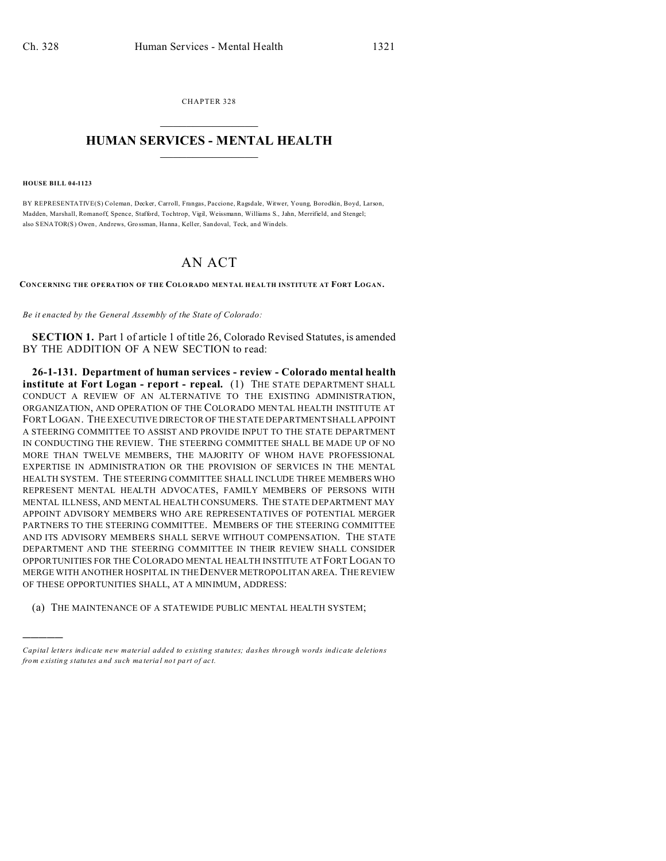CHAPTER 328  $\overline{\phantom{a}}$  , where  $\overline{\phantom{a}}$ 

## **HUMAN SERVICES - MENTAL HEALTH**  $\_$   $\_$   $\_$   $\_$   $\_$   $\_$   $\_$   $\_$   $\_$

## **HOUSE BILL 04-1123**

)))))

BY REPRESENTATIVE(S) Coleman, Decker, Carroll, Frangas, Paccione, Ragsdale, Witwer, Young, Borodkin, Boyd, Larson, Madden, Marshall, Romanoff, Spence, Stafford, Tochtrop, Vigil, Weissmann, Williams S., Jahn, Merrifield, and Stengel; also SENATOR(S) Owen, And rews, Gro ssman, Hanna , Keller, San doval, Teck, an d Windels.

## AN ACT

**CONCERNING THE OPERATION OF THE COLO RADO MEN TAL HEALTH INSTITUTE AT FORT LOGAN.**

*Be it enacted by the General Assembly of the State of Colorado:*

**SECTION 1.** Part 1 of article 1 of title 26, Colorado Revised Statutes, is amended BY THE ADDITION OF A NEW SECTION to read:

**26-1-131. Department of human services - review - Colorado mental health institute at Fort Logan - report - repeal.** (1) THE STATE DEPARTMENT SHALL CONDUCT A REVIEW OF AN ALTERNATIVE TO THE EXISTING ADMINISTRATION, ORGANIZATION, AND OPERATION OF THE COLORADO MENTAL HEALTH INSTITUTE AT FORT LOGAN. THE EXECUTIVE DIRECTOR OF THE STATE DEPARTMENT SHALL APPOINT A STEERING COMMITTEE TO ASSIST AND PROVIDE INPUT TO THE STATE DEPARTMENT IN CONDUCTING THE REVIEW. THE STEERING COMMITTEE SHALL BE MADE UP OF NO MORE THAN TWELVE MEMBERS, THE MAJORITY OF WHOM HAVE PROFESSIONAL EXPERTISE IN ADMINISTRATION OR THE PROVISION OF SERVICES IN THE MENTAL HEALTH SYSTEM. THE STEERING COMMITTEE SHALL INCLUDE THREE MEMBERS WHO REPRESENT MENTAL HEALTH ADVOCATES, FAMILY MEMBERS OF PERSONS WITH MENTAL ILLNESS, AND MENTAL HEALTH CONSUMERS. THE STATE DEPARTMENT MAY APPOINT ADVISORY MEMBERS WHO ARE REPRESENTATIVES OF POTENTIAL MERGER PARTNERS TO THE STEERING COMMITTEE. MEMBERS OF THE STEERING COMMITTEE AND ITS ADVISORY MEMBERS SHALL SERVE WITHOUT COMPENSATION. THE STATE DEPARTMENT AND THE STEERING COMMITTEE IN THEIR REVIEW SHALL CONSIDER OPPORTUNITIES FOR THE COLORADO MENTAL HEALTH INSTITUTE AT FORT LOGAN TO MERGE WITH ANOTHER HOSPITAL IN THEDENVER METROPOLITAN AREA. THE REVIEW OF THESE OPPORTUNITIES SHALL, AT A MINIMUM, ADDRESS:

(a) THE MAINTENANCE OF A STATEWIDE PUBLIC MENTAL HEALTH SYSTEM;

*Capital letters indicate new material added to existing statutes; dashes through words indicate deletions from e xistin g statu tes a nd such ma teria l no t pa rt of ac t.*